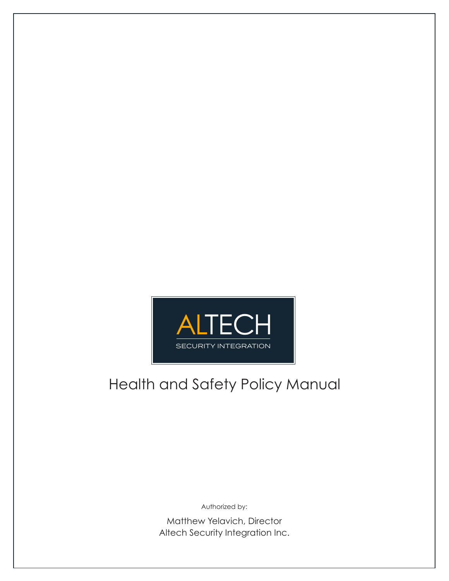

# Health and Safety Policy Manual

Authorized by:

Matthew Yelavich, Director Altech Security Integration Inc.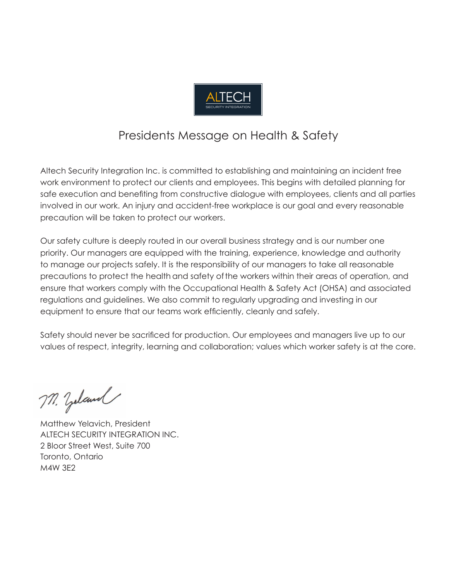

## Presidents Message on Health & Safety

Altech Security Integration Inc. is committed to establishing and maintaining an incident free work environment to protect our clients and employees. This begins with detailed planning for safe execution and benefiting from constructive dialogue with employees, clients and all parties involved in our work. An injury and accident-free workplace is our goal and every reasonable precaution will be taken to protect our workers.

Our safety culture is deeply routed in our overall business strategy and is our number one priority. Our managers are equipped with the training, experience, knowledge and authority to manage our projects safely. It is the responsibility of our managers to take all reasonable precautions to protect the health and safety ofthe workers within their areas of operation, and ensure that workers comply with the Occupational Health & Safety Act (OHSA) and associated regulations and guidelines. We also commit to regularly upgrading and investing in our equipment to ensure that our teams work efficiently, cleanly and safely.

Safety should never be sacrificed for production. Our employees and managers live up to our values of respect, integrity, learning and collaboration; values which worker safety is at the core.

M. Zeland

Matthew Yelavich, President ALTECH SECURITY INTEGRATION INC. 2 Bloor Street West, Suite 700 Toronto, Ontario M4W 3E2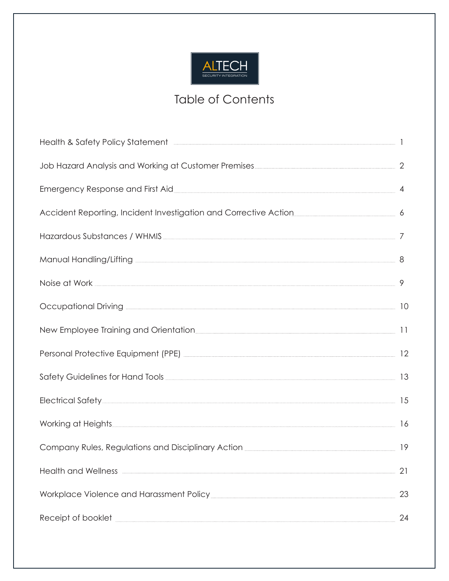

## Table of Contents

| Health & Safety Policy Statement <b>Executive Contract Contract Contract Contract Contract Contract Contract Contract Contract Contract Contract Contract Contract Contract Contract Contract Contract Contract Contract Contrac</b> |    |
|--------------------------------------------------------------------------------------------------------------------------------------------------------------------------------------------------------------------------------------|----|
|                                                                                                                                                                                                                                      |    |
|                                                                                                                                                                                                                                      |    |
| Accident Reporting, Incident Investigation and Corrective Action <b>Entity Action</b> 6                                                                                                                                              |    |
| Hazardous Substances / WHMIS <u>[</u> [11] Manufacture 7 7 Manufacture 7 2 Manufacture 7 2 Manufacture 7 2 Manufacture 7 2 Manufacture 7 2 Manufacture 7 2 Manufacture 7 2 Manufacture 7 2 Manufacture 7 2 Manufacture 7 2 Manufactu |    |
|                                                                                                                                                                                                                                      |    |
|                                                                                                                                                                                                                                      |    |
| Occupational Driving <b>Executional Driving and Strip and Strip and Strip and Strip and Strip and Strip and Strip and Strip and Strip and Strip and Strip and Strip and Strip and Strip and Strip and Strip and Strip and Strip </b> |    |
|                                                                                                                                                                                                                                      |    |
| Personal Protective Equipment (PPE) <b>2000 CONVERTED ACCESSION</b> 12                                                                                                                                                               |    |
| Safety Guidelines for Hand Tools <b>[2008]</b> 2008 2009 2010 2021 213                                                                                                                                                               |    |
|                                                                                                                                                                                                                                      |    |
| Working at Heights 16                                                                                                                                                                                                                |    |
| Company Rules, Regulations and Disciplinary Action <b>[19] Action</b> 2014 19                                                                                                                                                        |    |
|                                                                                                                                                                                                                                      | 21 |
|                                                                                                                                                                                                                                      | 23 |
| Receipt of booklet <b>with a construction of the construction</b> and construction of the construction of the construction of the construction of the construction of the construction of the construction of the construction of t  | 24 |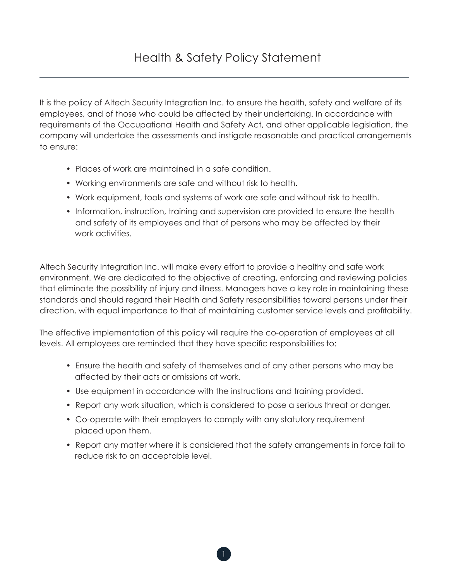It is the policy of Altech Security Integration Inc. to ensure the health, safety and welfare of its employees, and of those who could be affected by their undertaking. In accordance with requirements of the Occupational Health and Safety Act, and other applicable legislation, the company will undertake the assessments and instigate reasonable and practical arrangements to ensure:

- Places of work are maintained in a safe condition.
- Working environments are safe and without risk to health.
- Work equipment, tools and systems of work are safe and without risk to health.
- Information, instruction, training and supervision are provided to ensure the health and safety of its employees and that of persons who may be affected by their work activities.

Altech Security Integration Inc. will make every effort to provide a healthy and safe work environment. We are dedicated to the objective of creating, enforcing and reviewing policies that eliminate the possibility of injury and illness. Managers have a key role in maintaining these standards and should regard their Health and Safety responsibilities toward persons under their direction, with equal importance to that of maintaining customer service levels and profitability.

The effective implementation of this policy will require the co-operation of employees at all levels. All employees are reminded that they have specific responsibilities to:

- Ensure the health and safety of themselves and of any other persons who may be affected by their acts or omissions at work.
- Use equipment in accordance with the instructions and training provided.
- Report any work situation, which is considered to pose a serious threat or danger.
- Co-operate with their employers to comply with any statutory requirement placed upon them.
- Report any matter where it is considered that the safety arrangements in force fail to reduce risk to an acceptable level.

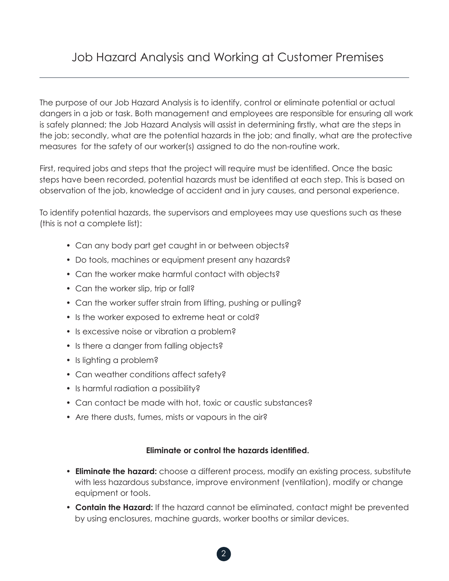The purpose of our Job Hazard Analysis is to identify, control or eliminate potential or actual dangers in a job or task. Both management and employees are responsible for ensuring all work is safely planned; the Job Hazard Analysis will assist in determining firstly, what are the steps in the job; secondly, what are the potential hazards in the job; and finally, what are the protective measures for the safety of our worker(s) assigned to do the non-routine work.

First, required jobs and steps that the project will require must be identified. Once the basic steps have been recorded, potential hazards must be identified at each step. This is based on observation of the job, knowledge of accident and in jury causes, and personal experience.

To identify potential hazards, the supervisors and employees may use questions such as these (this is not a complete list):

- Can any body part get caught in or between objects?
- Do tools, machines or equipment present any hazards?
- Can the worker make harmful contact with objects?
- Can the worker slip, trip or fall?
- Can the worker suffer strain from lifting, pushing or pulling?
- Is the worker exposed to extreme heat or cold?
- Is excessive noise or vibration a problem?
- Is there a danger from falling objects?
- Is lighting a problem?
- Can weather conditions affect safety?
- Is harmful radiation a possibility?
- Can contact be made with hot, toxic or caustic substances?
- Are there dusts, fumes, mists or vapours in the air?

## **Eliminate or control the hazards identified.**

- **Eliminate the hazard:** choose a different process, modify an existing process, substitute with less hazardous substance, improve environment (ventilation), modify or change equipment or tools.
- **Contain the Hazard:** If the hazard cannot be eliminated, contact might be prevented by using enclosures, machine guards, worker booths or similar devices.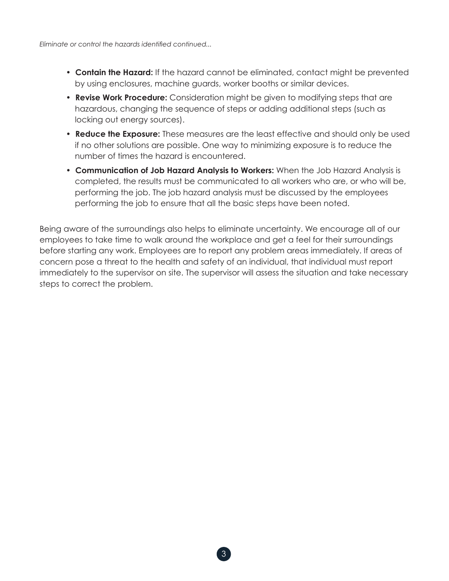- **Contain the Hazard:** If the hazard cannot be eliminated, contact might be prevented by using enclosures, machine guards, worker booths or similar devices.
- **Revise Work Procedure:** Consideration might be given to modifying steps that are hazardous, changing the sequence of steps or adding additional steps (such as locking out energy sources).
- **Reduce the Exposure:** These measures are the least effective and should only be used if no other solutions are possible. One way to minimizing exposure is to reduce the number of times the hazard is encountered.
- **Communication of Job Hazard Analysis to Workers:** When the Job Hazard Analysis is completed, the results must be communicated to all workers who are, or who will be, performing the job. The job hazard analysis must be discussed by the employees performing the job to ensure that all the basic steps have been noted.

Being aware of the surroundings also helps to eliminate uncertainty. We encourage all of our employees to take time to walk around the workplace and get a feel for their surroundings before starting any work. Employees are to report any problem areas immediately. If areas of concern pose a threat to the health and safety of an individual, that individual must report immediately to the supervisor on site. The supervisor will assess the situation and take necessary steps to correct the problem.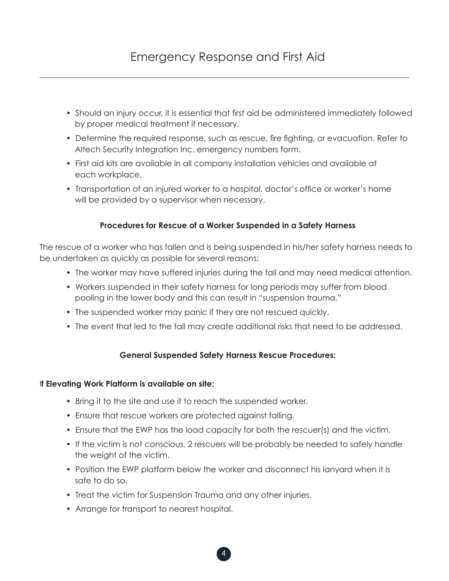- Should an injury occur, it is essential that first aid be administered immediately followed by proper medical treatment if necessary.
- Determine the required response, such as rescue, fire fighting, or evacuation. Refer to Altech Security Integration Inc. emergency numbers form.
- First aid kits are available in all company installation vehicles and available at each workplace.
- Transportation of an injured worker to a hospital, doctor's office or worker's home will be provided by a supervisor when necessary.

## **Procedures for Rescue of a Worker Suspended in a Safety Harness**

The rescue of a worker who has fallen and is being suspended in his/her safety harness needs to be undertaken as quickly as possible for several reasons:

- The worker may have suffered injuries during the fall and may need medical attention.
- Workers suspended in their safety harness for long periods may suffer from blood pooling in the lower body and this can result in "suspension trauma."
- The suspended worker may panic if they are not rescued quickly.
- The event that led to the fall may create additional risks that need to be addressed.

## **General Suspended Safety Harness Rescue Procedures:**

## I**f Elevating Work Platform is available on site:**

- Bring it to the site and use it to reach the suspended worker.
- Ensure that rescue workers are protected against falling.
- Ensure that the EWP has the load capacity for both the rescuer(s) and the victim.
- If the victim is not conscious, 2 rescuers will be probably be needed to safely handle the weight of the victim.
- Position the EWP platform below the worker and disconnect his lanyard when it is safe to do so.
- Treat the victim for Suspension Trauma and any other injuries.
- Arrange for transport to nearest hospital.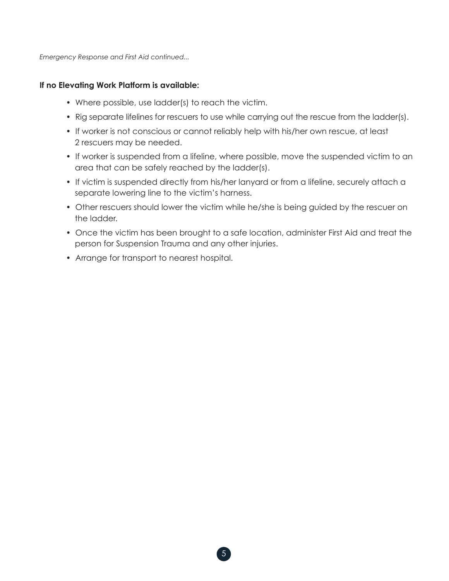*Emergency Response and First Aid continued...* 

## **If no Elevating Work Platform is available:**

- Where possible, use ladder(s) to reach the victim.
- Rig separate lifelines for rescuers to use while carrying out the rescue from the ladder(s).
- If worker is not conscious or cannot reliably help with his/her own rescue, at least 2 rescuers may be needed.
- If worker is suspended from a lifeline, where possible, move the suspended victim to an area that can be safely reached by the ladder(s).
- If victim is suspended directly from his/her lanyard or from a lifeline, securely attach a separate lowering line to the victim's harness.
- Other rescuers should lower the victim while he/she is being guided by the rescuer on the ladder.
- Once the victim has been brought to a safe location, administer First Aid and treat the person for Suspension Trauma and any other injuries.
- Arrange for transport to nearest hospital.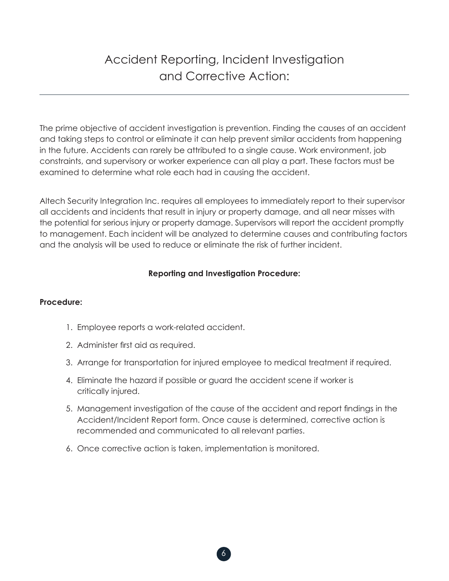## Accident Reporting, Incident Investigation and Corrective Action:

The prime objective of accident investigation is prevention. Finding the causes of an accident and taking steps to control or eliminate it can help prevent similar accidents from happening in the future. Accidents can rarely be attributed to a single cause. Work environment, job constraints, and supervisory or worker experience can all play a part. These factors must be examined to determine what role each had in causing the accident.

Altech Security Integration Inc. requires all employees to immediately report to their supervisor all accidents and incidents that result in injury or property damage, and all near misses with the potential for serious injury or property damage. Supervisors will report the accident promptly to management. Each incident will be analyzed to determine causes and contributing factors and the analysis will be used to reduce or eliminate the risk of further incident.

## **Reporting and Investigation Procedure:**

## **Procedure:**

- 1. Employee reports a work-related accident.
- 2. Administer first aid as required.
- 3. Arrange for transportation for injured employee to medical treatment if required.
- 4. Eliminate the hazard if possible or guard the accident scene if worker is critically injured.
- 5. Management investigation of the cause of the accident and report findings in the Accident/Incident Report form. Once cause is determined, corrective action is recommended and communicated to all relevant parties.
- 6. Once corrective action is taken, implementation is monitored.

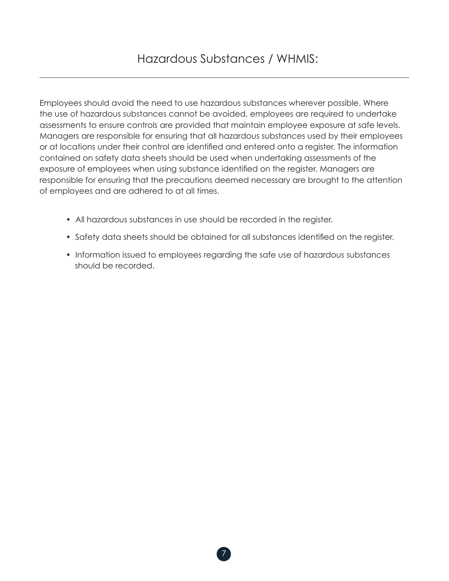Employees should avoid the need to use hazardous substances wherever possible. Where the use of hazardous substances cannot be avoided, employees are required to undertake assessments to ensure controls are provided that maintain employee exposure at safe levels. Managers are responsible for ensuring that all hazardous substances used by their employees or at locations under their control are identified and entered onto a register. The information contained on safety data sheets should be used when undertaking assessments of the exposure of employees when using substance identified on the register. Managers are responsible for ensuring that the precautions deemed necessary are brought to the attention of employees and are adhered to at all times.

- All hazardous substances in use should be recorded in the register.
- Safety data sheets should be obtained for all substances identified on the register.
- Information issued to employees regarding the safe use of hazardous substances should be recorded.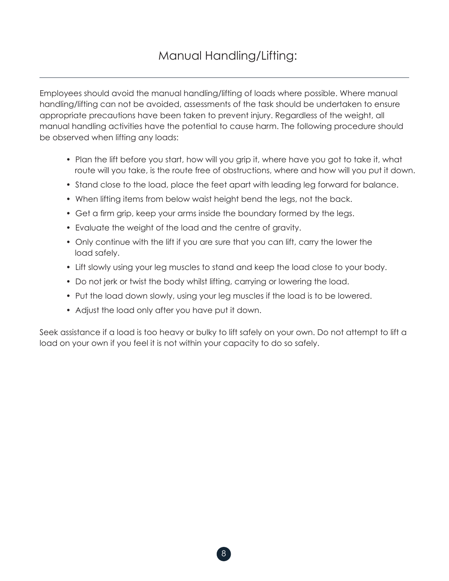Employees should avoid the manual handling/lifting of loads where possible. Where manual handling/lifting can not be avoided, assessments of the task should be undertaken to ensure appropriate precautions have been taken to prevent injury. Regardless of the weight, all manual handling activities have the potential to cause harm. The following procedure should be observed when lifting any loads:

- Plan the lift before you start, how will you grip it, where have you got to take it, what route will you take, is the route free of obstructions, where and how will you put it down.
- Stand close to the load, place the feet apart with leading leg forward for balance.
- When lifting items from below waist height bend the legs, not the back.
- Get a firm grip, keep your arms inside the boundary formed by the legs.
- Evaluate the weight of the load and the centre of gravity.
- Only continue with the lift if you are sure that you can lift, carry the lower the load safely.
- Lift slowly using your leg muscles to stand and keep the load close to your body.
- Do not jerk or twist the body whilst lifting, carrying or lowering the load.
- Put the load down slowly, using your leg muscles if the load is to be lowered.
- Adjust the load only after you have put it down.

Seek assistance if a load is too heavy or bulky to lift safely on your own. Do not attempt to lift a load on your own if you feel it is not within your capacity to do so safely.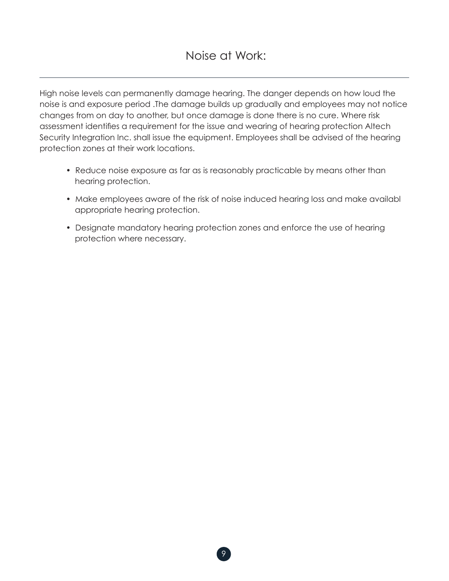High noise levels can permanently damage hearing. The danger depends on how loud the noise is and exposure period .The damage builds up gradually and employees may not notice changes from on day to another, but once damage is done there is no cure. Where risk assessment identifies a requirement for the issue and wearing of hearing protection Altech Security Integration Inc. shall issue the equipment. Employees shall be advised of the hearing protection zones at their work locations.

- Reduce noise exposure as far as is reasonably practicable by means other than hearing protection.
- Make employees aware of the risk of noise induced hearing loss and make availabl appropriate hearing protection.
- Designate mandatory hearing protection zones and enforce the use of hearing protection where necessary.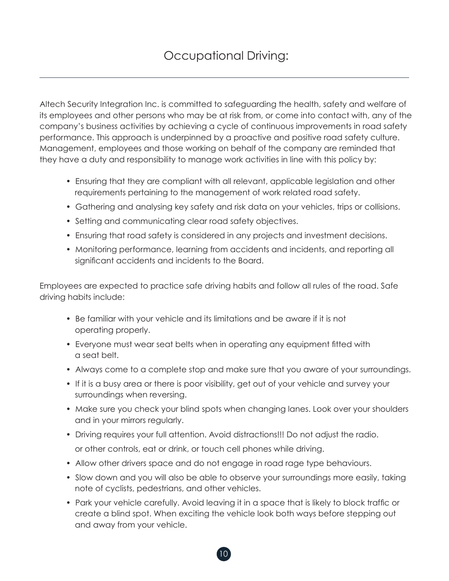Altech Security Integration Inc. is committed to safeguarding the health, safety and welfare of its employees and other persons who may be at risk from, or come into contact with, any of the company's business activities by achieving a cycle of continuous improvements in road safety performance. This approach is underpinned by a proactive and positive road safety culture. Management, employees and those working on behalf of the company are reminded that they have a duty and responsibility to manage work activities in line with this policy by:

- Ensuring that they are compliant with all relevant, applicable legislation and other requirements pertaining to the management of work related road safety.
- Gathering and analysing key safety and risk data on your vehicles, trips or collisions.
- Setting and communicating clear road safety objectives.
- Ensuring that road safety is considered in any projects and investment decisions.
- Monitoring performance, learning from accidents and incidents, and reporting all significant accidents and incidents to the Board.

Employees are expected to practice safe driving habits and follow all rules of the road. Safe driving habits include:

- Be familiar with your vehicle and its limitations and be aware if it is not operating properly.
- Everyone must wear seat belts when in operating any equipment fitted with a seat belt.
- Always come to a complete stop and make sure that you aware of your surroundings.
- If it is a busy area or there is poor visibility, get out of your vehicle and survey your surroundings when reversing.
- Make sure you check your blind spots when changing lanes. Look over your shoulders and in your mirrors regularly.
- Driving requires your full attention. Avoid distractions!!! Do not adjust the radio. or other controls, eat or drink, or touch cell phones while driving.
- Allow other drivers space and do not engage in road rage type behaviours.
- Slow down and you will also be able to observe your surroundings more easily, taking note of cyclists, pedestrians, and other vehicles.
- Park your vehicle carefully. Avoid leaving it in a space that is likely to block traffic or create a blind spot. When exciting the vehicle look both ways before stepping out and away from your vehicle.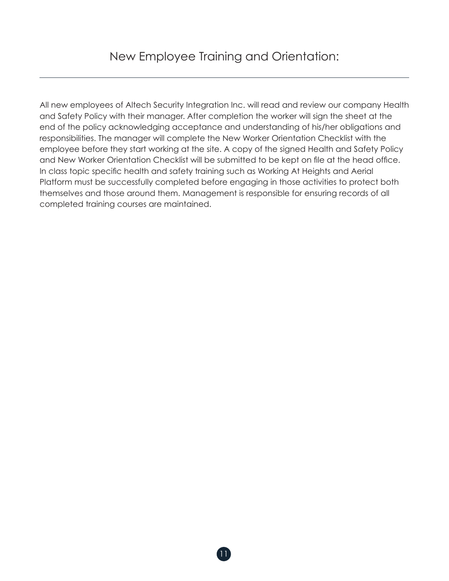All new employees of Altech Security Integration Inc. will read and review our company Health and Safety Policy with their manager. After completion the worker will sign the sheet at the end of the policy acknowledging acceptance and understanding of his/her obligations and responsibilities. The manager will complete the New Worker Orientation Checklist with the employee before they start working at the site. A copy of the signed Health and Safety Policy and New Worker Orientation Checklist will be submitted to be kept on file at the head office. In class topic specific health and safety training such as Working At Heights and Aerial Platform must be successfully completed before engaging in those activities to protect both themselves and those around them. Management is responsible for ensuring records of all completed training courses are maintained.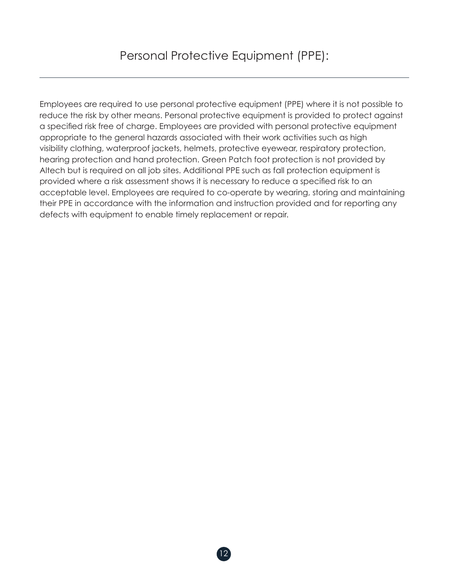Employees are required to use personal protective equipment (PPE) where it is not possible to reduce the risk by other means. Personal protective equipment is provided to protect against a specified risk free of charge. Employees are provided with personal protective equipment appropriate to the general hazards associated with their work activities such as high visibility clothing, waterproof jackets, helmets, protective eyewear, respiratory protection, hearing protection and hand protection. Green Patch foot protection is not provided by Altech but is required on all job sites. Additional PPE such as fall protection equipment is provided where a risk assessment shows it is necessary to reduce a specified risk to an acceptable level. Employees are required to co-operate by wearing, storing and maintaining their PPE in accordance with the information and instruction provided and for reporting any defects with equipment to enable timely replacement or repair.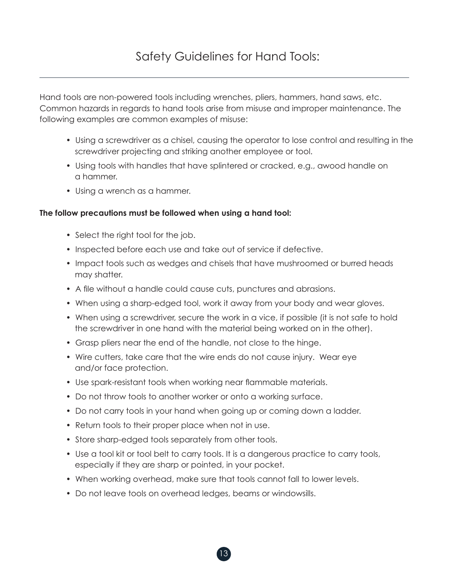Hand tools are non-powered tools including wrenches, pliers, hammers, hand saws, etc. Common hazards in regards to hand tools arise from misuse and improper maintenance. The following examples are common examples of misuse:

- Using a screwdriver as a chisel, causing the operator to lose control and resulting in the screwdriver projecting and striking another employee or tool.
- Using tools with handles that have splintered or cracked, e.g., awood handle on a hammer.
- Using a wrench as a hammer.

## **The follow precautions must be followed when using a hand tool:**

- Select the right tool for the job.
- Inspected before each use and take out of service if defective.
- Impact tools such as wedges and chisels that have mushroomed or burred heads may shatter.
- A file without a handle could cause cuts, punctures and abrasions.
- When using a sharp-edged tool, work it away from your body and wear gloves.
- When using a screwdriver, secure the work in a vice, if possible (it is not safe to hold the screwdriver in one hand with the material being worked on in the other).
- Grasp pliers near the end of the handle, not close to the hinge.
- Wire cutters, take care that the wire ends do not cause injury. Wear eye and/or face protection.
- Use spark-resistant tools when working near flammable materials.
- Do not throw tools to another worker or onto a working surface.
- Do not carry tools in your hand when going up or coming down a ladder.
- Return tools to their proper place when not in use.
- Store sharp-edged tools separately from other tools.
- Use a tool kit or tool belt to carry tools. It is a dangerous practice to carry tools, especially if they are sharp or pointed, in your pocket.
- When working overhead, make sure that tools cannot fall to lower levels.
- Do not leave tools on overhead ledges, beams or windowsills.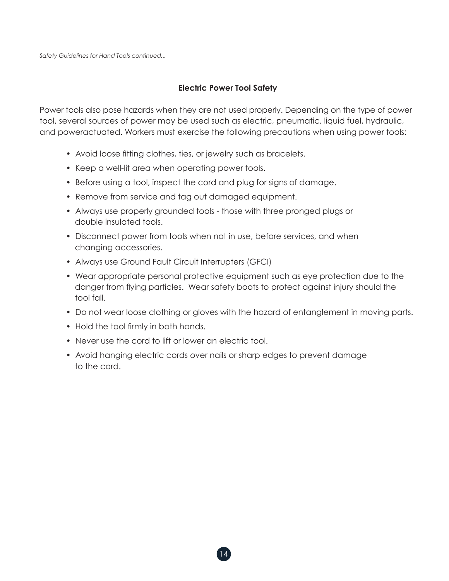*Safety Guidelines for Hand Tools continued...* 

#### **Electric Power Tool Safety**

Power tools also pose hazards when they are not used properly. Depending on the type of power tool, several sources of power may be used such as electric, pneumatic, liquid fuel, hydraulic, and poweractuated. Workers must exercise the following precautions when using power tools:

- Avoid loose fitting clothes, ties, or jewelry such as bracelets.
- Keep a well-lit area when operating power tools.
- Before using a tool, inspect the cord and plug for signs of damage.
- Remove from service and tag out damaged equipment.
- Always use properly grounded tools those with three pronged plugs or double insulated tools.
- Disconnect power from tools when not in use, before services, and when changing accessories.
- Always use Ground Fault Circuit Interrupters (GFCI)
- Wear appropriate personal protective equipment such as eye protection due to the danger from flying particles. Wear safety boots to protect against injury should the tool fall.
- Do not wear loose clothing or gloves with the hazard of entanglement in moving parts.
- Hold the tool firmly in both hands.
- Never use the cord to lift or lower an electric tool.
- Avoid hanging electric cords over nails or sharp edges to prevent damage to the cord.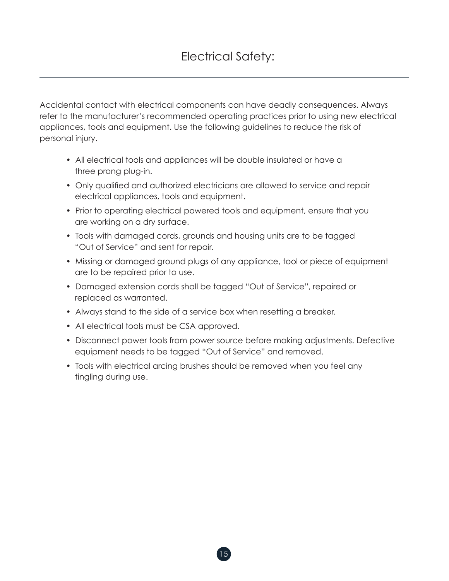Accidental contact with electrical components can have deadly consequences. Always refer to the manufacturer's recommended operating practices prior to using new electrical appliances, tools and equipment. Use the following guidelines to reduce the risk of personal injury.

- All electrical tools and appliances will be double insulated or have a three prong plug-in.
- Only qualified and authorized electricians are allowed to service and repair electrical appliances, tools and equipment.
- Prior to operating electrical powered tools and equipment, ensure that you are working on a dry surface.
- Tools with damaged cords, grounds and housing units are to be tagged "Out of Service" and sent for repair.
- Missing or damaged ground plugs of any appliance, tool or piece of equipment are to be repaired prior to use.
- Damaged extension cords shall be tagged "Out of Service", repaired or replaced as warranted.
- Always stand to the side of a service box when resetting a breaker.
- All electrical tools must be CSA approved.
- Disconnect power tools from power source before making adjustments. Defective equipment needs to be tagged "Out of Service" and removed.
- Tools with electrical arcing brushes should be removed when you feel any tingling during use.

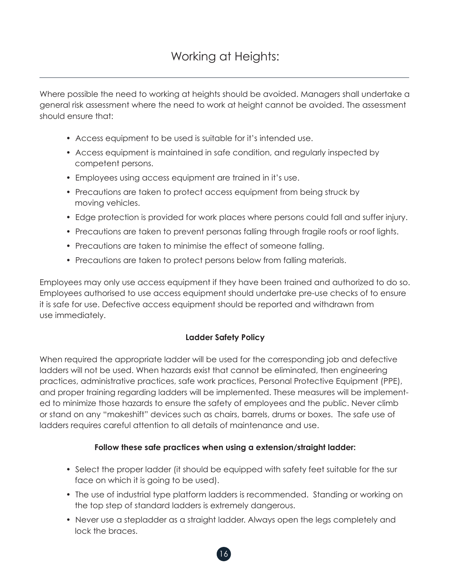Where possible the need to working at heights should be avoided. Managers shall undertake a general risk assessment where the need to work at height cannot be avoided. The assessment should ensure that:

- Access equipment to be used is suitable for it's intended use.
- Access equipment is maintained in safe condition, and regularly inspected by competent persons.
- Employees using access equipment are trained in it's use.
- Precautions are taken to protect access equipment from being struck by moving vehicles.
- Edge protection is provided for work places where persons could fall and suffer injury.
- Precautions are taken to prevent personas falling through fragile roofs or roof lights.
- Precautions are taken to minimise the effect of someone falling.
- Precautions are taken to protect persons below from falling materials.

Employees may only use access equipment if they have been trained and authorized to do so. Employees authorised to use access equipment should undertake pre-use checks of to ensure it is safe for use. Defective access equipment should be reported and withdrawn from use immediately.

## **Ladder Safety Policy**

When required the appropriate ladder will be used for the corresponding job and defective ladders will not be used. When hazards exist that cannot be eliminated, then engineering practices, administrative practices, safe work practices, Personal Protective Equipment (PPE), and proper training regarding ladders will be implemented. These measures will be implemented to minimize those hazards to ensure the safety of employees and the public. Never climb or stand on any "makeshift" devices such as chairs, barrels, drums or boxes. The safe use of ladders requires careful attention to all details of maintenance and use.

## **Follow these safe practices when using a extension/straight ladder:**

- Select the proper ladder (it should be equipped with safety feet suitable for the sur face on which it is going to be used).
- The use of industrial type platform ladders is recommended. Standing or working on the top step of standard ladders is extremely dangerous.
- Never use a stepladder as a straight ladder. Always open the legs completely and lock the braces.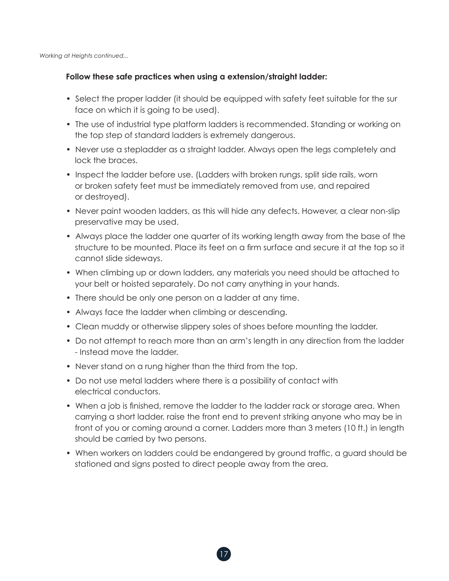*Working at Heights continued...*

#### **Follow these safe practices when using a extension/straight ladder:**

- Select the proper ladder (it should be equipped with safety feet suitable for the sur face on which it is going to be used).
- The use of industrial type platform ladders is recommended. Standing or working on the top step of standard ladders is extremely dangerous.
- Never use a stepladder as a straight ladder. Always open the legs completely and lock the braces.
- Inspect the ladder before use. (Ladders with broken rungs, split side rails, worn or broken safety feet must be immediately removed from use, and repaired or destroyed).
- Never paint wooden ladders, as this will hide any defects. However, a clear non-slip preservative may be used.
- Always place the ladder one quarter of its working length away from the base of the structure to be mounted. Place its feet on a firm surface and secure it at the top so it cannot slide sideways.
- When climbing up or down ladders, any materials you need should be attached to your belt or hoisted separately. Do not carry anything in your hands.
- There should be only one person on a ladder at any time.
- Always face the ladder when climbing or descending.
- Clean muddy or otherwise slippery soles of shoes before mounting the ladder.
- Do not attempt to reach more than an arm's length in any direction from the ladder - Instead move the ladder.
- Never stand on a rung higher than the third from the top.
- Do not use metal ladders where there is a possibility of contact with electrical conductors.
- When a job is finished, remove the ladder to the ladder rack or storage area. When carrying a short ladder, raise the front end to prevent striking anyone who may be in front of you or coming around a corner. Ladders more than 3 meters (10 ft.) in length should be carried by two persons.
- When workers on ladders could be endangered by ground traffic, a guard should be stationed and signs posted to direct people away from the area.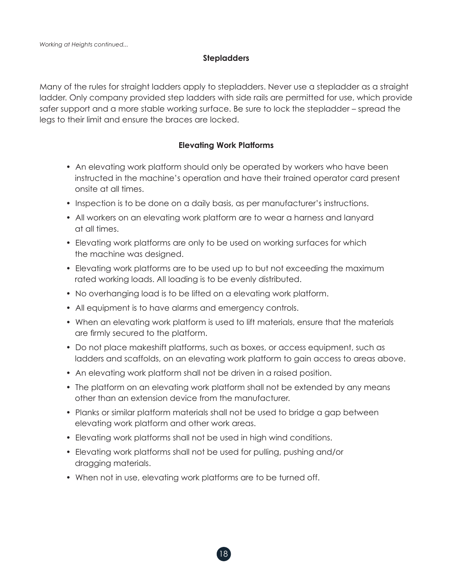#### **Stepladders**

Many of the rules for straight ladders apply to stepladders. Never use a stepladder as a straight ladder. Only company provided step ladders with side rails are permitted for use, which provide safer support and a more stable working surface. Be sure to lock the stepladder – spread the legs to their limit and ensure the braces are locked.

## **Elevating Work Platforms**

- An elevating work platform should only be operated by workers who have been instructed in the machine's operation and have their trained operator card present onsite at all times.
- Inspection is to be done on a daily basis, as per manufacturer's instructions.
- All workers on an elevating work platform are to wear a harness and lanyard at all times.
- Elevating work platforms are only to be used on working surfaces for which the machine was designed.
- Elevating work platforms are to be used up to but not exceeding the maximum rated working loads. All loading is to be evenly distributed.
- No overhanging load is to be lifted on a elevating work platform.
- All equipment is to have alarms and emergency controls.
- When an elevating work platform is used to lift materials, ensure that the materials are firmly secured to the platform.
- Do not place makeshift platforms, such as boxes, or access equipment, such as ladders and scaffolds, on an elevating work platform to gain access to areas above.
- An elevating work platform shall not be driven in a raised position.
- The platform on an elevating work platform shall not be extended by any means other than an extension device from the manufacturer.
- Planks or similar platform materials shall not be used to bridge a gap between elevating work platform and other work areas.
- Elevating work platforms shall not be used in high wind conditions.
- Elevating work platforms shall not be used for pulling, pushing and/or dragging materials.
- When not in use, elevating work platforms are to be turned off.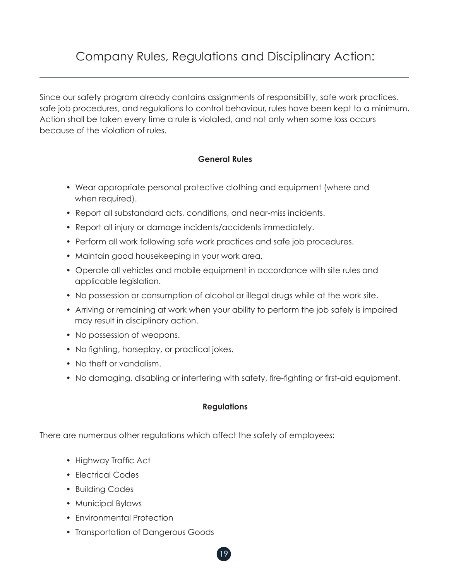## Company Rules, Regulations and Disciplinary Action:

Since our safety program already contains assignments of responsibility, safe work practices, safe job procedures, and regulations to control behaviour, rules have been kept to a minimum. Action shall be taken every time a rule is violated, and not only when some loss occurs because of the violation of rules.

## **General Rules**

- Wear appropriate personal protective clothing and equipment (where and when required).
- Report all substandard acts, conditions, and near-miss incidents.
- Report all injury or damage incidents/accidents immediately.
- Perform all work following safe work practices and safe job procedures.
- Maintain good housekeeping in your work area.
- Operate all vehicles and mobile equipment in accordance with site rules and applicable legislation.
- No possession or consumption of alcohol or illegal drugs while at the work site.
- Arriving or remaining at work when your ability to perform the job safely is impaired may result in disciplinary action.
- No possession of weapons.
- No fighting, horseplay, or practical jokes.
- No theft or vandalism.
- No damaging, disabling or interfering with safety, fire-fighting or first-aid equipment.

## **Regulations**

19

There are numerous other regulations which affect the safety of employees:

- Highway Traffic Act
- Electrical Codes
- Building Codes
- Municipal Bylaws
- Environmental Protection
- Transportation of Dangerous Goods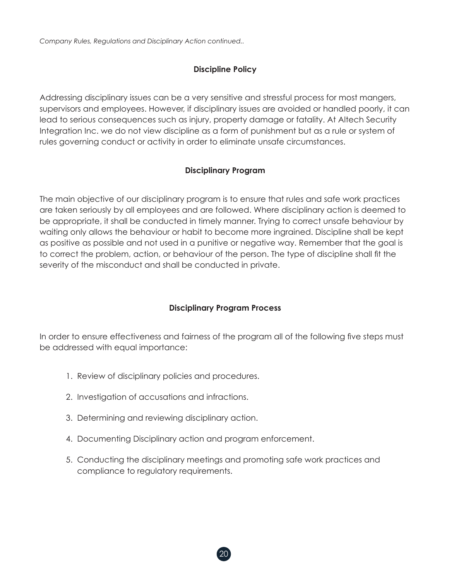*Company Rules, Regulations and Disciplinary Action continued..*

## **Discipline Policy**

Addressing disciplinary issues can be a very sensitive and stressful process for most mangers, supervisors and employees. However, if disciplinary issues are avoided or handled poorly, it can lead to serious consequences such as injury, property damage or fatality. At Altech Security Integration Inc. we do not view discipline as a form of punishment but as a rule or system of rules governing conduct or activity in order to eliminate unsafe circumstances.

## **Disciplinary Program**

The main objective of our disciplinary program is to ensure that rules and safe work practices are taken seriously by all employees and are followed. Where disciplinary action is deemed to be appropriate, it shall be conducted in timely manner. Trying to correct unsafe behaviour by waiting only allows the behaviour or habit to become more ingrained. Discipline shall be kept as positive as possible and not used in a punitive or negative way. Remember that the goal is to correct the problem, action, or behaviour of the person. The type of discipline shall fit the severity of the misconduct and shall be conducted in private.

## **Disciplinary Program Process**

In order to ensure effectiveness and fairness of the program all of the following five steps must be addressed with equal importance:

- 1. Review of disciplinary policies and procedures.
- 2. Investigation of accusations and infractions.
- 3. Determining and reviewing disciplinary action.
- 4. Documenting Disciplinary action and program enforcement.
- 5. Conducting the disciplinary meetings and promoting safe work practices and compliance to regulatory requirements.

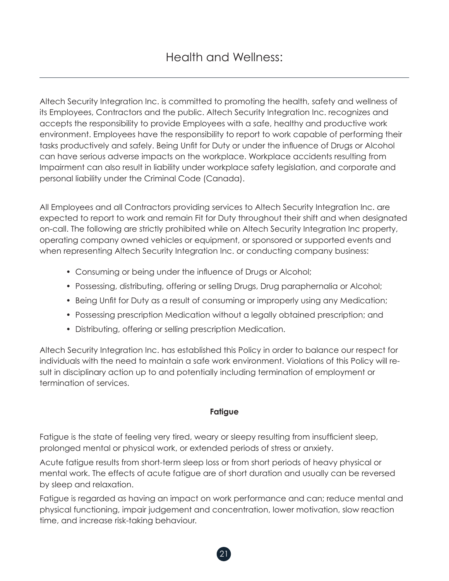Altech Security Integration Inc. is committed to promoting the health, safety and wellness of its Employees, Contractors and the public. Altech Security Integration Inc. recognizes and accepts the responsibility to provide Employees with a safe, healthy and productive work environment. Employees have the responsibility to report to work capable of performing their tasks productively and safely. Being Unfit for Duty or under the influence of Drugs or Alcohol can have serious adverse impacts on the workplace. Workplace accidents resulting from Impairment can also result in liability under workplace safety legislation, and corporate and personal liability under the Criminal Code (Canada).

All Employees and all Contractors providing services to Altech Security Integration Inc. are expected to report to work and remain Fit for Duty throughout their shift and when designated on-call. The following are strictly prohibited while on Altech Security Integration Inc property, operating company owned vehicles or equipment, or sponsored or supported events and when representing Altech Security Integration Inc. or conducting company business:

- Consuming or being under the influence of Drugs or Alcohol;
- Possessing, distributing, offering or selling Drugs, Drug paraphernalia or Alcohol;
- Being Unfit for Duty as a result of consuming or improperly using any Medication;
- Possessing prescription Medication without a legally obtained prescription; and
- Distributing, offering or selling prescription Medication.

Altech Security Integration Inc. has established this Policy in order to balance our respect for individuals with the need to maintain a safe work environment. Violations of this Policy will result in disciplinary action up to and potentially including termination of employment or termination of services.

## **Fatigue**

Fatigue is the state of feeling very tired, weary or sleepy resulting from insufficient sleep, prolonged mental or physical work, or extended periods of stress or anxiety.

Acute fatigue results from short-term sleep loss or from short periods of heavy physical or mental work. The effects of acute fatigue are of short duration and usually can be reversed by sleep and relaxation.

Fatigue is regarded as having an impact on work performance and can; reduce mental and physical functioning, impair judgement and concentration, lower motivation, slow reaction time, and increase risk-taking behaviour.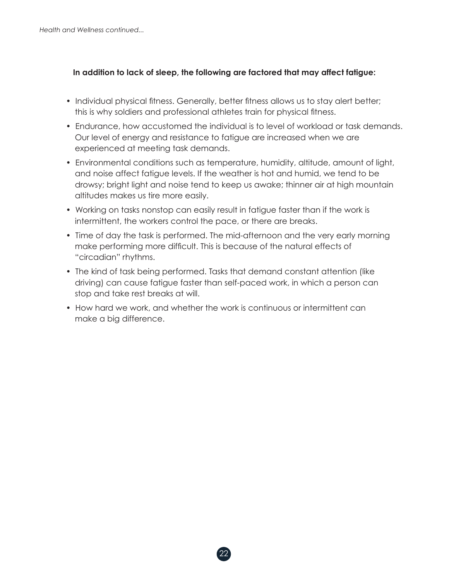## **In addition to lack of sleep, the following are factored that may affect fatigue:**

- Individual physical fitness. Generally, better fitness allows us to stay alert better; this is why soldiers and professional athletes train for physical fitness.
- Endurance, how accustomed the individual is to level of workload or task demands. Our level of energy and resistance to fatigue are increased when we are experienced at meeting task demands.
- Environmental conditions such as temperature, humidity, altitude, amount of light, and noise affect fatigue levels. If the weather is hot and humid, we tend to be drowsy; bright light and noise tend to keep us awake; thinner air at high mountain altitudes makes us tire more easily.
- Working on tasks nonstop can easily result in fatigue faster than if the work is intermittent, the workers control the pace, or there are breaks.
- Time of day the task is performed. The mid-afternoon and the very early morning make performing more difficult. This is because of the natural effects of "circadian" rhythms.
- The kind of task being performed. Tasks that demand constant attention (like driving) can cause fatigue faster than self-paced work, in which a person can stop and take rest breaks at will.
- How hard we work, and whether the work is continuous or intermittent can make a big difference.

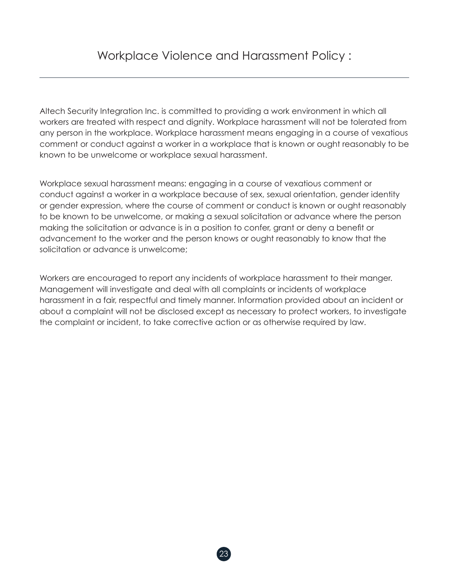Altech Security Integration Inc. is committed to providing a work environment in which all workers are treated with respect and dignity. Workplace harassment will not be tolerated from any person in the workplace. Workplace harassment means engaging in a course of vexatious comment or conduct against a worker in a workplace that is known or ought reasonably to be known to be unwelcome or workplace sexual harassment.

Workplace sexual harassment means: engaging in a course of vexatious comment or conduct against a worker in a workplace because of sex, sexual orientation, gender identity or gender expression, where the course of comment or conduct is known or ought reasonably to be known to be unwelcome, or making a sexual solicitation or advance where the person making the solicitation or advance is in a position to confer, grant or deny a benefit or advancement to the worker and the person knows or ought reasonably to know that the solicitation or advance is unwelcome;

Workers are encouraged to report any incidents of workplace harassment to their manger. Management will investigate and deal with all complaints or incidents of workplace harassment in a fair, respectful and timely manner. Information provided about an incident or about a complaint will not be disclosed except as necessary to protect workers, to investigate the complaint or incident, to take corrective action or as otherwise required by law.